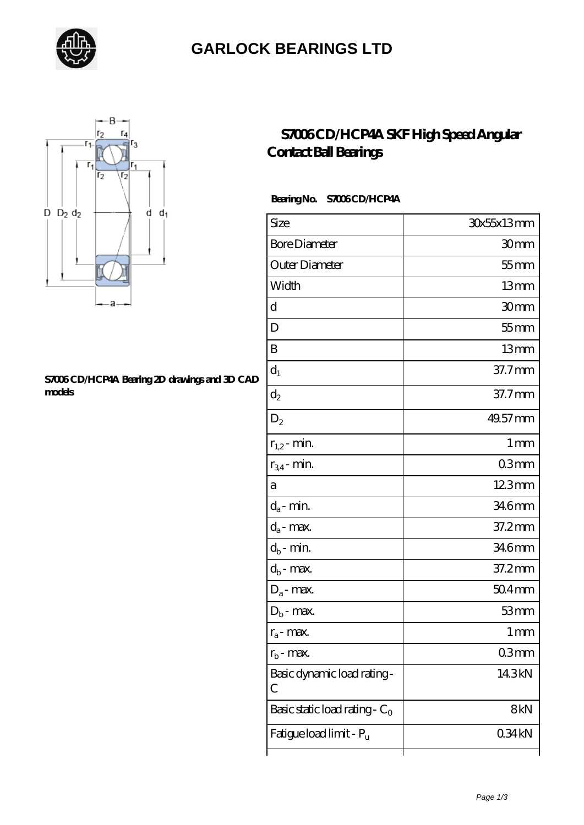

### **[GARLOCK BEARINGS LTD](https://letterstopriests.com)**



#### **[S7006 CD/HCP4A Bearing 2D drawings and 3D CAD](https://letterstopriests.com/pic-934966.html) [models](https://letterstopriests.com/pic-934966.html)**

### **[S7006 CD/HCP4A SKF High Speed Angular](https://letterstopriests.com/skf-bearing/s7006-cd-hcp4a.html) [Contact Ball Bearings](https://letterstopriests.com/skf-bearing/s7006-cd-hcp4a.html)**

### **Bearing No. S7006 CD/HCP4A**

| Size                             | 30x55x13mm       |
|----------------------------------|------------------|
| <b>Bore Diameter</b>             | 30 <sub>mm</sub> |
| Outer Diameter                   | $55$ mm          |
| Width                            | 13mm             |
| d                                | 30mm             |
| D                                | $55$ mm          |
| B                                | 13mm             |
| $d_1$                            | 37.7mm           |
| $d_2$                            | 37.7mm           |
| $D_2$                            | 49.57 mm         |
| $r_{1,2}$ - min.                 | 1 <sub>mm</sub>  |
| $r_{34}$ - min.                  | 03 <sub>mm</sub> |
| а                                | 123mm            |
| $d_a$ - min.                     | 346mm            |
| $d_a$ - max.                     | 37.2mm           |
| $d_b$ - $\min$                   | 346mm            |
| $d_b$ - max.                     | 37.2mm           |
| $D_a$ - max.                     | $504$ mm         |
| $D_b$ - max.                     | 53mm             |
| $r_a$ - max.                     | 1 <sub>mm</sub>  |
| $r_{b}$ - max.                   | 03mm             |
| Basic dynamic load rating-<br>C  | 14.3kN           |
| Basic static load rating - $C_0$ | 8kN              |
| Fatigue load limit - Pu          | 034kN            |
|                                  |                  |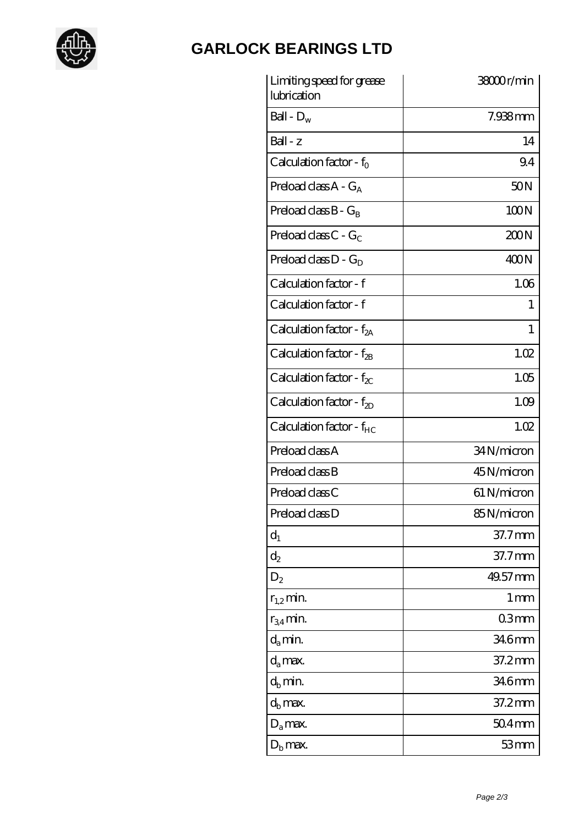

# **[GARLOCK BEARINGS LTD](https://letterstopriests.com)**

| Limiting speed for grease<br>lubrication | 38000r/min        |
|------------------------------------------|-------------------|
| Ball - $D_w$                             | $7.938$ mm        |
| $Ball - z$                               | 14                |
| Calculation factor - $f_0$               | 9.4               |
| Preload class $A - G_A$                  | 50N               |
| Preload class $B - G_B$                  | 100N              |
| Preload class C - $G_C$                  | 200N              |
| Preload class $D - G_D$                  | 400N              |
| Calculation factor - f                   | 1.06              |
| Calculation factor - f                   | 1                 |
| Calculation factor - $f_{2A}$            | 1                 |
| Calculation factor - $f_{2B}$            | 1.02              |
| Calculation factor - $f_{\chi}$          | 1.05              |
| Calculation factor - $f_{2D}$            | 1.09              |
| Calculation factor - f <sub>HC</sub>     | 1.02              |
| Preload class A                          | 34N/micron        |
| Preload class B                          | 45N/micron        |
| Preload class C                          | 61 N/micron       |
| Preload class D                          | 85N/micron        |
| $d_1$                                    | 37.7mm            |
| $\mathrm{d}_2$                           | $37.7$ mm         |
| $D_2$                                    | 49.57 mm          |
| $r_{1,2}$ min.                           | $1 \,\mathrm{mm}$ |
| $r_{34}$ min.                            | 03mm              |
| $d_a$ min.                               | 346mm             |
| $d_a$ max.                               | 37.2mm            |
| $d_b$ min.                               | 346mm             |
| $d_h$ max.                               | 37.2mm            |
| $D_a$ max.                               | $504$ mm          |
| $D_{\rm b}$ max.                         | 53mm              |